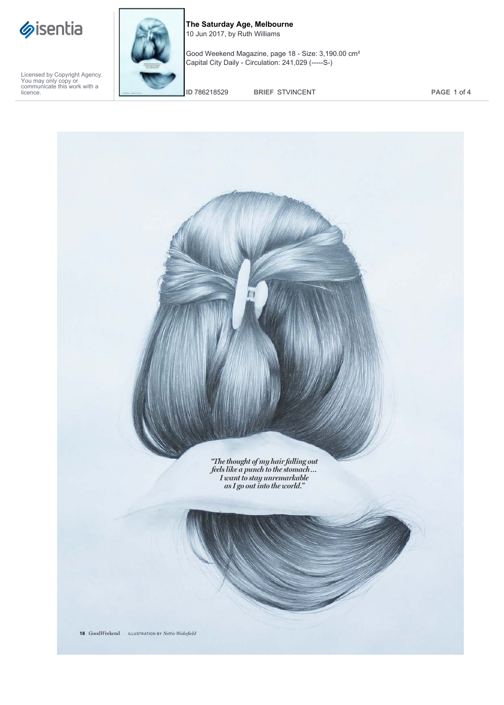



**The Saturday Age, Melbourne** 10 Jun 2017, by Ruth Williams

Good Weekend Magazine, page 18 - Size: 3,190.00 cm² Capital City Daily - Circulation: 241,029 (-----S-)

**ID** 786218529 **BRIEF** STVINCENT **PAGE** 1 of 4

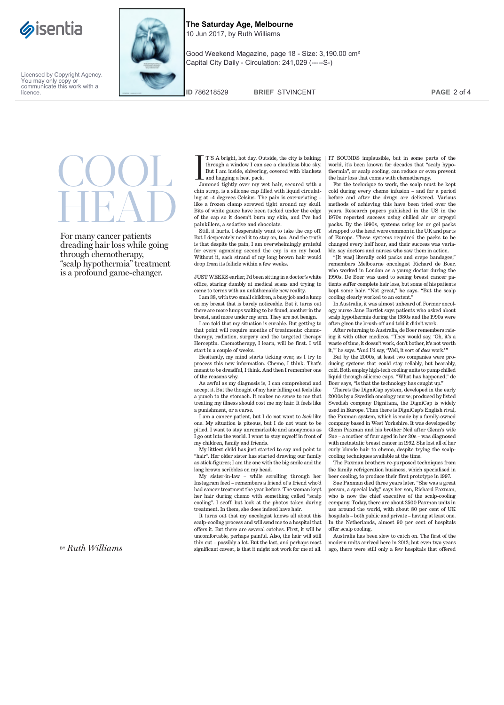



Good Weekend Magazine, page 18 - Size: 3,190.00 cm² Capital City Daily - Circulation: 241,029 (-----S-)

**ID** 786218529 **BRIEF** STVINCENT **PAGE** 2 of 4

COOL**HEAD** 

For many cancer patients dreading hair loss while going through chemotherapy, "scalp hypothermia" treatment is a profound game-changer.

IT'S A bright, hot day. Outside, the city is baking; through a window I can see a cloudless blue sky. But I am inside, shivering, covered with blankets and hugging a heat pack.

Jammed tightly over my wet hair, secured with a chin strap, is a silicone cap filled with liquid circulating at -4 degrees Celsius. The pain is excruciating – like a frozen clamp screwed tight around my skull. Bits of white gauze have been tucked under the edge of the cap so it doesn't burn my skin, and I've had painkillers, a sedative and chocolate.

Still, it hurts. I desperately want to take the cap off. But I desperately need it to stay on, too. And the truth is that despite the pain, I am overwhelmingly grateful for every agonising second the cap is on my head. Without it, each strand of my long brown hair would drop from its follicle within a few weeks.

JUST WEEKS earlier, I'd been sitting in a doctor's white office, staring dumbly at medical scans and trying to come to terms with an unfathomable new reality.

I am 38, with two small children, a busy job and a lump on my breast that is barely noticeable. But it turns out there are more lumps waiting to be found; another in the breast, and more under my arm. They are not benign.

I am told that my situation is curable. But getting to that point will require months of treatments: chemotherapy, radiation, surgery and the targeted therapy Herceptin. Chemotherapy, I learn, will be first. I will start in a couple of weeks.

Hesitantly, my mind starts ticking over, as I try to process this new information. Chemo, I think. That's meant to be dreadful, I think. And then I remember one of the reasons why.

As awful as my diagnosis is, I can comprehend and accept it. But the thought of my hair falling out feels like a punch to the stomach. It makes no sense to me that treating my illness should cost me my hair. It feels like a punishment, or a curse.

I am a cancer patient, but I do not want to *look* like one. My situation is piteous, but I do not want to be pitied. I want to stay unremarkable and anonymous as I go out into the world. I want to stay myself in front of my children, family and friends.

My littlest child has just started to say and point to "hair". Her older sister has started drawing our family as stick-figures; I am the one with the big smile and the long brown scribbles on my head.

My sister-in-law – while scrolling through her Instagram feed – remembers a friend of a friend who'd had cancer treatment the year before. The woman kept her hair during chemo with something called "scalp cooling". I scoff, but look at the photos taken during treatment. In them, she does indeed have hair.

It turns out that my oncologist knows all about this scalp-cooling process and will send me to a hospital that offers it. But there are several catches. First, it will be uncomfortable, perhaps painful. Also, the hair will still thin out – possibly a lot. But the last, and perhaps most significant caveat, is that it might not work for me at all. IT SOUNDS implausible, but in some parts of the world, it's been known for decades that "scalp hypothermia", or scalp cooling, can reduce or even prevent the hair loss that comes with chemotherapy.

For the technique to work, the scalp must be kept cold during every chemo infusion – and for a period before and after the drugs are delivered. Various methods of achieving this have been tried over the years. Research papers published in the US in the 1970s reported success using chilled air or cryogel packs. By the 1990s, systems using ice or gel packs strapped to the head were common in the UK and parts of Europe. These systems required the packs to be changed every half hour, and their success was variable, say doctors and nurses who saw them in action.

"[It was] literally cold packs and crepe bandages," remembers Melbourne oncologist Richard de Boer, who worked in London as a young doctor during the 1990s. De Boer was used to seeing breast cancer patients suffer complete hair loss, but some of his patients kept some hair. "Not great," he says. "But the scalp cooling clearly worked to an extent."

In Australia, it was almost unheard of. Former oncology nurse Jane Bartlet says patients who asked about scalp hypothermia during the 1980s and the 1990s were often given the brush-off and told it didn't work.

After returning to Australia, de Boer remembers rais-ing it with other medicos. "They would say, 'Oh, it's a waste of time, it doesn't work, don't bother, it's not worth it,' " he says. "And I'd say, 'Well, it sort of *does* work.' "

But by the 2000s, at least two companies were producing systems that could stay reliably, but bearably, cold. Both employ high-tech cooling units to pump chilled liquid through silicone caps. "What has happened," de Boer says, "is that the technology has caught up."

There's the DigniCap system, developed in the early 2000s by a Swedish oncology nurse; produced by listed Swedish company Dignitana, the DigniCap is widely used in Europe. Then there is DigniCap's English rival, the Paxman system, which is made by a family-owned company based in West Yorkshire. It was developed by Glenn Paxman and his brother Neil after Glenn's wife Sue – a mother of four aged in her 30s – was diagnosed with metastatic breast cancer in 1992. She lost all of her curly blonde hair to chemo, despite trying the scalpcooling techniques available at the time.

The Paxman brothers re-purposed techniques from the family refrigeration business, which specialised in beer cooling, to produce their first prototype in 1997.

Sue Paxman died three years later. "She was a great person, a special lady," says her son, Richard Paxman, who is now the chief executive of the scalp-cooling company. Today, there are about 2500 Paxman units in use around the world, with about 80 per cent of UK hospitals – both public and private – having at least one. In the Netherlands, almost 90 per cent of hospitals offer scalp cooling.

Australia has been slow to catch on. The first of the modern units arrived here in 2012; but even two years ago, there were still only a few hospitals that offered

BY *Ruth Williams*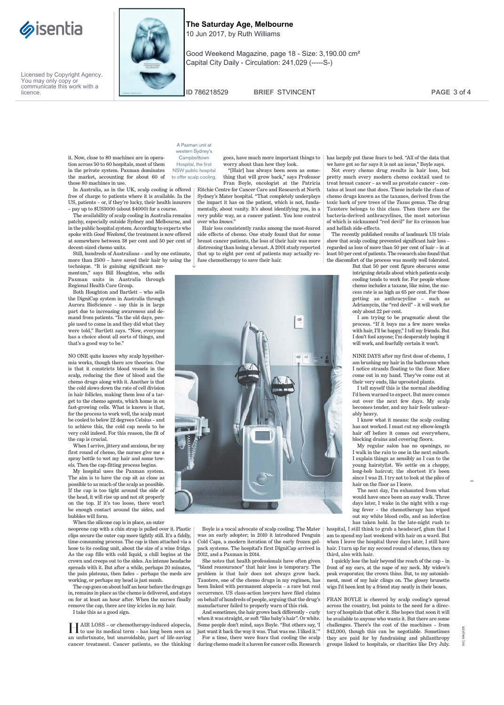



Good Weekend Magazine, page 18 - Size: 3,190.00 cm² Capital City Daily - Circulation: 241,029 (-----S-)

**ID** 786218529 **BRIEF** STVINCENT **PAGE** 3 of 4

it. Now, close to 80 machines are in operation across 50 to 60 hospitals, most of them in the private system. Paxman dominates the market, accounting for about 60 of those 80 machines in use.

In Australia, as in the UK, scalp cooling is offered free of charge to patients where it is available. In the US, patients – or, if they're lucky, their health insurers – pay up to \$US3000 (about \$4000) for a course.

The availability of scalp cooling in Australia remains patchy, especially outside Sydney and Melbourne, and in the public hospital system. According to experts who spoke with *Good Weekend*, the treatment is now offered at somewhere between 38 per cent and 50 per cent of decent-sized chemo units.

Still, hundreds of Australians – and by one estimate, more than 2500 – have saved their hair by using the

technique. "It is gaining significant momentum," says Bill Houghton, who sells Paxman units in Australia through Regional Health Care Group.

Both Houghton and Bartlett – who sells the DigniCap system in Australia through Aurora BioScience – say this is in large part due to increasing awareness and de-mand from patients. "In the old days, people used to come in and they did what they were told," Bartlett says. "Now, everyone has a choice about all sorts of things, and that's a good way to be."

NO ONE quite knows why scalp hypothermia works, though there are theories. One is that it constricts blood vessels in the scalp, reducing the flow of blood and the chemo drugs along with it. Another is that the cold slows down the rate of cell division in hair follicles, making them less of a target to the chemo agents, which home in on fast-growing cells. What is known is that, for the process to work well, the scalp must be cooled to below 22 degrees Celsius – and to achieve this, the cold cap needs to be very cold indeed. For this reason, the fit of the cap is crucial.

When I arrive, jittery and anxious, for my first round of chemo, the nurses give me a spray bottle to wet my hair and some towels. Then the cap-fitting process begins.

My hospital uses the Paxman system. The aim is to have the cap sit as close as possible to as much of the scalp as possible. If the cap is too tight around the side of the head, it will rise up and not sit properly on the top. If it's too loose, there won't be enough contact around the sides, and bubbles will form.

When the silicone cap is in place, an outer neoprene cap with a chin strap is pulled over it. Plastic clips secure the outer cap more tightly still. It's a fiddly, time-consuming process. The cap is then attached via a hose to its cooling unit, about the size of a wine fridge. As the cap fills with cold liquid, a chill begins at the crown and creeps out to the sides. An intense headache spreads with it. But after a while, perhaps 20 minutes, the pain plateaus, then fades – perhaps the meds are working, or perhaps my head is just numb.

The cap goes on about half an hour before the drugs go in, remains in place as the chemo is delivered, and stays on for at least an hour after. When the nurses finally remove the cap, there are tiny icicles in my hair.

I take this as a good sign.

HAIR LOSS – or chemotherapy-induced alopecia, to use its medical term – has long been seen as an unfortunate, but unavoidable, part of life-saving cancer treatment. Cancer patients, so the thinking

| A Paxman unit at        |
|-------------------------|
|                         |
| western Sydney's        |
| Campbelltown            |
| Hospital, the first     |
| NSW public hospital     |
| to offer scalp cooling. |

goes, have much more important things to worry about than how they look. "[Hair] has always been seen as some-thing that will grow back," says Professor

Fran Boyle, oncologist at the Patricia Ritchie Centre for Cancer Care and Research at North Sydney's Mater hospital. "That completely underplays the impact it has on the patient, which is not, funda-

mentally, about vanity. It's about identifying you, in a very public way, as a cancer patient. You lose control over who *knows*.

Hair loss consistently ranks among the most-feared side effects of chemo. One study found that for some breast cancer patients, the loss of their hair was more distressing than losing a breast. A 2001 study reported that up to eight per cent of patients may actually refuse chemotherapy to save their hair.



Not every chemo drug results in hair loss, but pretty much every modern chemo cocktail used to treat breast cancer – as well as prostate cancer – contains at least one that does. These include the class of chemo drugs known as the taxanes, derived from the toxic bark of yew trees of the *Taxus* genus. The drug Taxotere belongs to this class. Then there are the bacteria-derived anthracyclines, the most notorious of which is nicknamed "red devil" for its crimson hue and hellish side-effects.

The recently published results of landmark US trials show that scalp cooling prevented significant hair loss – regarded as loss of more than 50 per cent of hair – in at ast 50 per cent of patients. The research also found that the discomfort of the process was mostly well tolerated.

But that 50 per cent figure obscures some intriguing details about which patients scalp cooling tends to work for. For people whose chemo includes a taxane, like mine, the success rate is as high as 65 per cent. For those getting an anthracycline – such as Adriamycin, the "red devil" – it will work for only about 22 per cent.

I am trying to be pragmatic about the process. "If it buys me a few more weeks with hair, I'll be happy," I tell my friends. But I don't fool anyone; I'm desperately hoping it will work, and fearfully certain it won't

NINE DAYS after my first dose of chemo, I am brushing my hair in the bathroom when I notice strands floating to the floor. More come out in my hand. They've come out at their very ends, like uprooted plants.

I tell myself this is the normal shedding I'd been warned to expect. But more comes out over the next few days. My scalp becomes tender, and my hair feels unbearably heavy.

I know what it means: the scalp cooling has not worked. I must cut my elbow-length hair off before it comes out everywhere, blocking drains and covering floors.

My regular salon has no openings, so I walk in the rain to one in the next suburb. I explain things as sensibly as I can to the young hairstylist. We settle on a choppy, long-bob haircut; the shortest it's been since I was 21. I try not to look at the piles of hair on the floor as I leave.

The next day, I'm exhausted from what would have once been an easy walk. Three days later, I wake in the night with a raging fever – the chemotherapy has wiped out my white blood cells, and an infection has taken hold. In the late-night rush to

hospital, I still think to grab a headscarf, glum that I am to spend my last weekend with hair on a ward. But when I leave the hospital three days later, I still have hair. I turn up for my second round of chemo, then my third, also with hair.

I quickly lose the hair beyond the reach of the cap – in front of my ears, at the nape of my neck. My widow's peak evaporates; the crown thins. But, to my astonishment, most of my hair clings on. The glossy brunette wigs I'd been lent by a friend stay neatly in their boxes.

FRAN BOYLE is cheered by scalp cooling's spread across the country, but points to the need for a directory of hospitals that offer it. She hopes that soon it will be available to anyone who wants it. But there are some challenges. There's the cost of the machines – from \$42,000, though this can be negotiable. Sometimes they are paid for by fundraising and philanthropy groups linked to hospitals, or charities like Dry July.



Boyle is a vocal advocate of scalp cooling. The Mater vas an early adopter; in 2010 it introduced Penguin Cold Caps, a modern iteration of the early frozen gelpack systems. The hospital's first DigniCap arrived in 2012, and a Paxman in 2014.

She notes that health professionals have often given "bland reassurance" that hair loss is temporary. The problem is that hair does not always grow back. Taxotere, one of the chemo drugs in my regimen, has been linked with permanent alopecia – a rare but real occurrence. US class-action lawyers have filed claims on behalf of hundreds of people, arguing that the drug's manufacturer failed to properly warn of this risk.

And sometimes, the hair grows back differently – curly when it was straight, or soft "like baby's hair". Or white. Some people don't mind, says Boyle. "But others say, 'I just want it back the way it was. That was me. I liked it.'" For a time, there were fears that cooling the scalp during chemo made it a haven for cancer cells. Research

NIC WALKER